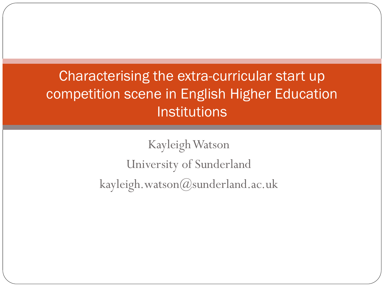#### Characterising the extra-curricular start up competition scene in English Higher Education Institutions

Kayleigh Watson University of Sunderland kayleigh.watson@sunderland.ac.uk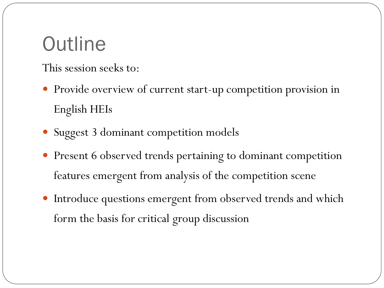# **Outline**

This session seeks to:

- Provide overview of current start-up competition provision in English HEIs
- Suggest 3 dominant competition models
- Present 6 observed trends pertaining to dominant competition features emergent from analysis of the competition scene
- Introduce questions emergent from observed trends and which form the basis for critical group discussion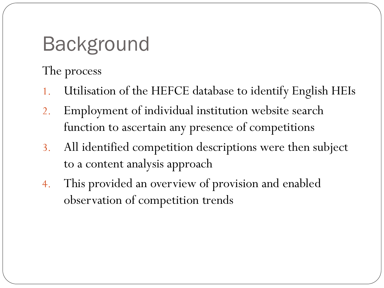# Background

The process

- 1. Utilisation of the HEFCE database to identify English HEIs
- 2. Employment of individual institution website search function to ascertain any presence of competitions
- 3. All identified competition descriptions were then subject to a content analysis approach
- 4. This provided an overview of provision and enabled observation of competition trends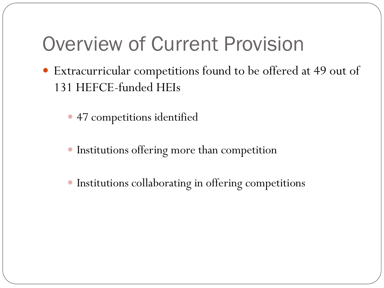## Overview of Current Provision

- Extracurricular competitions found to be offered at 49 out of 131 HEFCE-funded HEIs
	- 47 competitions identified
	- Institutions offering more than competition
	- Institutions collaborating in offering competitions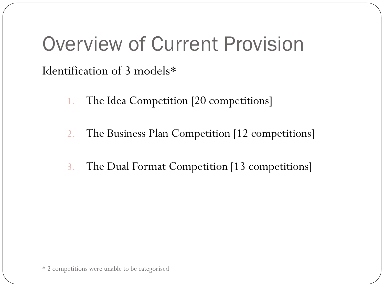## Overview of Current Provision Identification of 3 models\*

- 1. The Idea Competition [20 competitions]
- 2. The Business Plan Competition [12 competitions]
- 3. The Dual Format Competition [13 competitions]

\* 2 competitions were unable to be categorised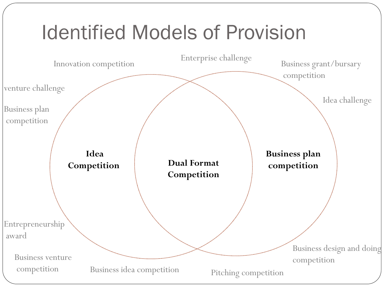#### **Dual Format Competition Idea Competition Business plan competition** Innovation competition Enterprise challenge Business design and doing Business venture competition<br>
competition Business idea competition pitching competition Business idea competition Business plan competition Idea challenge Business grant/bursary competition Pitching competition Entrepreneurship award venture challenge Identified Models of Provision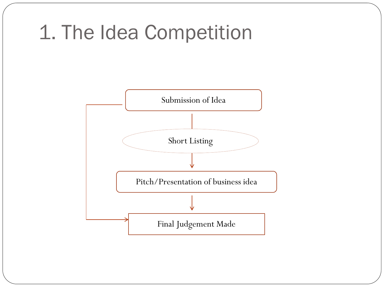## 1. The Idea Competition

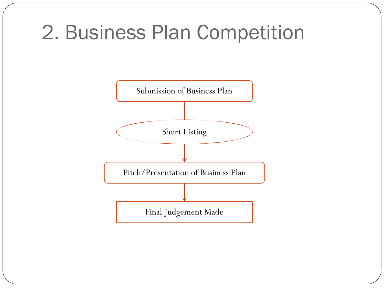# 2. Business Plan Competition

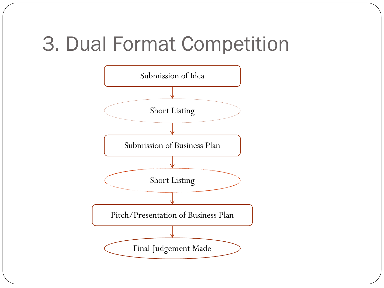## 3. Dual Format Competition

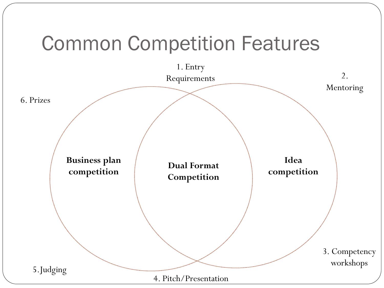# Common Competition Features

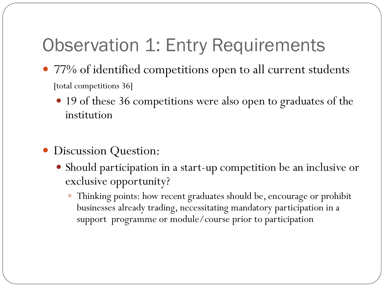#### Observation 1: Entry Requirements

- 77% of identified competitions open to all current students [total competitions 36]
	- 19 of these 36 competitions were also open to graduates of the institution
- Discussion Question:
	- Should participation in a start-up competition be an inclusive or exclusive opportunity?
		- Thinking points: how recent graduates should be, encourage or prohibit businesses already trading, necessitating mandatory participation in a support programme or module/course prior to participation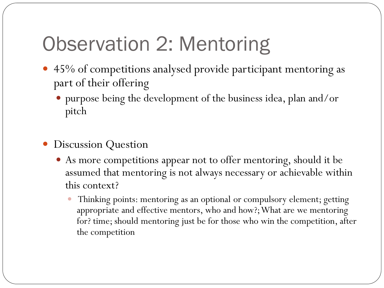# Observation 2: Mentoring

- 45% of competitions analysed provide participant mentoring as part of their offering
	- purpose being the development of the business idea, plan and/or pitch
- Discussion Question
	- As more competitions appear not to offer mentoring, should it be assumed that mentoring is not always necessary or achievable within this context?
		- Thinking points: mentoring as an optional or compulsory element; getting appropriate and effective mentors, who and how?; What are we mentoring for? time; should mentoring just be for those who win the competition, after the competition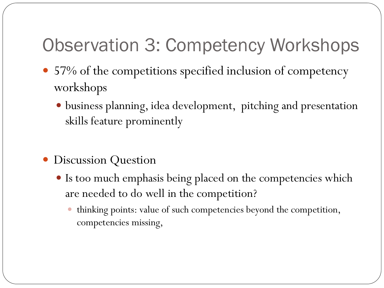#### Observation 3: Competency Workshops

- 57% of the competitions specified inclusion of competency workshops
	- business planning, idea development, pitching and presentation skills feature prominently
- Discussion Question
	- Is too much emphasis being placed on the competencies which are needed to do well in the competition?
		- thinking points: value of such competencies beyond the competition, competencies missing,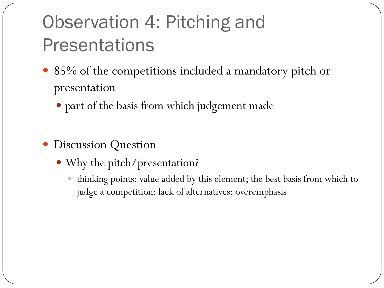# Observation 4: Pitching and **Presentations**

- 85% of the competitions included a mandatory pitch or presentation
	- part of the basis from which judgement made
- Discussion Question
	- Why the pitch/presentation?
		- thinking points: value added by this element; the best basis from which to judge a competition; lack of alternatives; overemphasis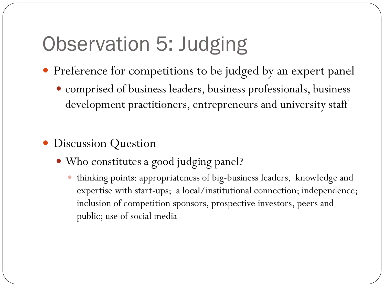# Observation 5: Judging

- Preference for competitions to be judged by an expert panel
	- comprised of business leaders, business professionals, business development practitioners, entrepreneurs and university staff
- Discussion Question
	- Who constitutes a good judging panel?
		- thinking points: appropriateness of big-business leaders, knowledge and expertise with start-ups; a local/institutional connection; independence; inclusion of competition sponsors, prospective investors, peers and public; use of social media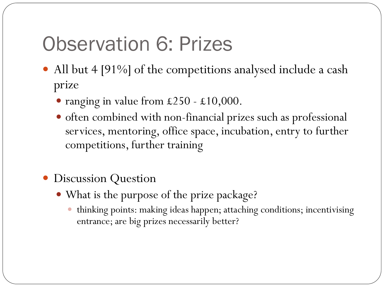# Observation 6: Prizes

- All but 4 [91%] of the competitions analysed include a cash prize
	- ranging in value from £250 £10,000.
	- often combined with non-financial prizes such as professional services, mentoring, office space, incubation, entry to further competitions, further training
- Discussion Question
	- What is the purpose of the prize package?
		- thinking points: making ideas happen; attaching conditions; incentivising entrance; are big prizes necessarily better?